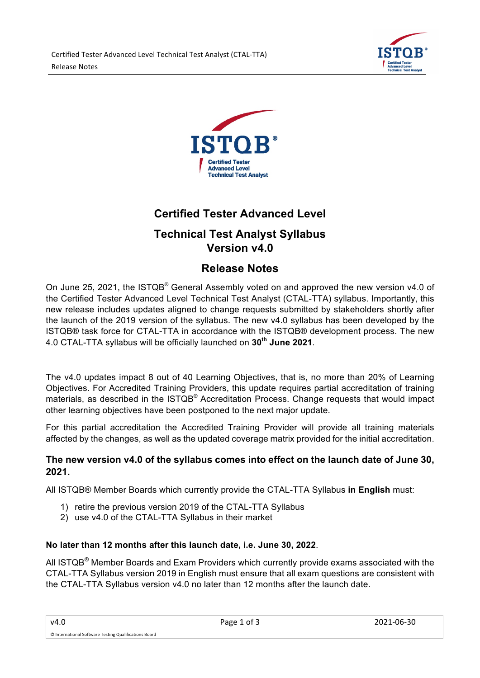



# **Certified Tester Advanced Level**

# **Technical Test Analyst Syllabus Version v4.0**

# **Release Notes**

On June 25, 2021, the ISTQB<sup>®</sup> General Assembly voted on and approved the new version v4.0 of the Certified Tester Advanced Level Technical Test Analyst (CTAL-TTA) syllabus. Importantly, this new release includes updates aligned to change requests submitted by stakeholders shortly after the launch of the 2019 version of the syllabus. The new v4.0 syllabus has been developed by the ISTQB® task force for CTAL-TTA in accordance with the ISTQB® development process. The new 4.0 CTAL-TTA syllabus will be officially launched on **30th June 2021**.

The v4.0 updates impact 8 out of 40 Learning Objectives, that is, no more than 20% of Learning Objectives. For Accredited Training Providers, this update requires partial accreditation of training materials, as described in the ISTQB® Accreditation Process. Change requests that would impact other learning objectives have been postponed to the next major update.

For this partial accreditation the Accredited Training Provider will provide all training materials affected by the changes, as well as the updated coverage matrix provided for the initial accreditation.

## **The new version v4.0 of the syllabus comes into effect on the launch date of June 30, 2021.**

All ISTQB® Member Boards which currently provide the CTAL-TTA Syllabus **in English** must:

- 1) retire the previous version 2019 of the CTAL-TTA Syllabus
- 2) use v4.0 of the CTAL-TTA Syllabus in their market

# **No later than 12 months after this launch date, i.e. June 30, 2022**.

All ISTQB<sup>®</sup> Member Boards and Exam Providers which currently provide exams associated with the CTAL-TTA Syllabus version 2019 in English must ensure that all exam questions are consistent with the CTAL-TTA Syllabus version v4.0 no later than 12 months after the launch date.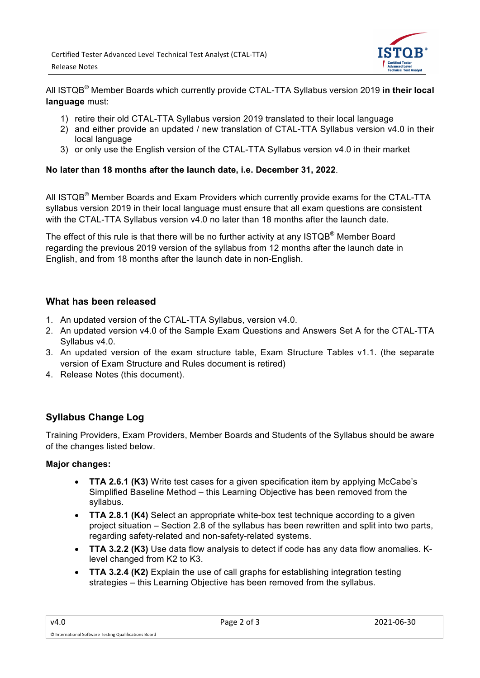

All ISTQB® Member Boards which currently provide CTAL-TTA Syllabus version 2019 **in their local language** must:

- 1) retire their old CTAL-TTA Syllabus version 2019 translated to their local language
- 2) and either provide an updated / new translation of CTAL-TTA Syllabus version v4.0 in their local language
- 3) or only use the English version of the CTAL-TTA Syllabus version v4.0 in their market

#### **No later than 18 months after the launch date, i.e. December 31, 2022**.

All ISTQB<sup>®</sup> Member Boards and Exam Providers which currently provide exams for the CTAL-TTA syllabus version 2019 in their local language must ensure that all exam questions are consistent with the CTAL-TTA Syllabus version v4.0 no later than 18 months after the launch date.

The effect of this rule is that there will be no further activity at any ISTQB<sup>®</sup> Member Board regarding the previous 2019 version of the syllabus from 12 months after the launch date in English, and from 18 months after the launch date in non-English.

### **What has been released**

- 1. An updated version of the CTAL-TTA Syllabus, version v4.0.
- 2. An updated version v4.0 of the Sample Exam Questions and Answers Set A for the CTAL-TTA Syllabus v4.0.
- 3. An updated version of the exam structure table, Exam Structure Tables v1.1. (the separate version of Exam Structure and Rules document is retired)
- 4. Release Notes (this document).

# **Syllabus Change Log**

Training Providers, Exam Providers, Member Boards and Students of the Syllabus should be aware of the changes listed below.

### **Major changes:**

- **TTA 2.6.1 (K3)** Write test cases for a given specification item by applying McCabe's Simplified Baseline Method – this Learning Objective has been removed from the syllabus.
- **TTA 2.8.1 (K4)** Select an appropriate white-box test technique according to a given project situation – Section 2.8 of the syllabus has been rewritten and split into two parts, regarding safety-related and non-safety-related systems.
- **TTA 3.2.2 (K3)** Use data flow analysis to detect if code has any data flow anomalies. Klevel changed from K2 to K3.
- **TTA 3.2.4 (K2)** Explain the use of call graphs for establishing integration testing strategies – this Learning Objective has been removed from the syllabus.